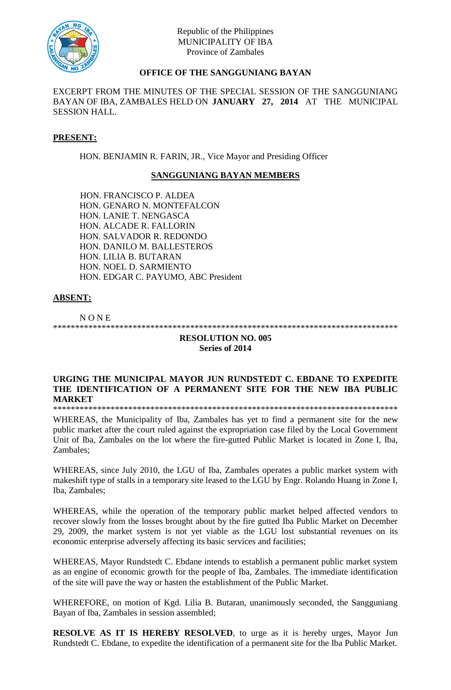

# **OFFICE OF THE SANGGUNIANG BAYAN**

EXCERPT FROM THE MINUTES OF THE SPECIAL SESSION OF THE SANGGUNIANG BAYAN OF IBA, ZAMBALES HELD ON **JANUARY 27, 2014** AT THE MUNICIPAL SESSION HALL.

### **PRESENT:**

HON. BENJAMIN R. FARIN, JR., Vice Mayor and Presiding Officer

## **SANGGUNIANG BAYAN MEMBERS**

HON. FRANCISCO P. ALDEA HON. GENARO N. MONTEFALCON HON. LANIE T. NENGASCA HON. ALCADE R. FALLORIN HON. SALVADOR R. REDONDO HON. DANILO M. BALLESTEROS HON. LILIA B. BUTARAN HON. NOEL D. SARMIENTO HON. EDGAR C. PAYUMO, ABC President

### **ABSENT:**

N O N E

\*\*\*\*\*\*\*\*\*\*\*\*\*\*\*\*\*\*\*\*\*\*\*\*\*\*\*\*\*\*\*\*\*\*\*\*\*\*\*\*\*\*\*\*\*\*\*\*\*\*\*\*\*\*\*\*\*\*\*\*\*\*\*\*\*\*\*\*\*\*\*\*\*\*\*\*\*\*

#### **RESOLUTION NO. 005 Series of 2014**

#### **URGING THE MUNICIPAL MAYOR JUN RUNDSTEDT C. EBDANE TO EXPEDITE THE IDENTIFICATION OF A PERMANENT SITE FOR THE NEW IBA PUBLIC MARKET**

\*\*\*\*\*\*\*\*\*\*\*\*\*\*\*\*\*\*\*\*\*\*\*\*\*\*\*\*\*\*\*\*\*\*\*\*\*\*\*\*\*\*\*\*\*\*\*\*\*\*\*\*\*\*\*\*\*\*\*\*\*\*\*\*\*\*\*\*\*\*\*\*\*\*\*\*\*\*

WHEREAS, the Municipality of Iba, Zambales has yet to find a permanent site for the new public market after the court ruled against the expropriation case filed by the Local Government Unit of Iba, Zambales on the lot where the fire-gutted Public Market is located in Zone I, Iba, Zambales;

WHEREAS, since July 2010, the LGU of Iba, Zambales operates a public market system with makeshift type of stalls in a temporary site leased to the LGU by Engr. Rolando Huang in Zone I, Iba, Zambales;

WHEREAS, while the operation of the temporary public market helped affected vendors to recover slowly from the losses brought about by the fire gutted Iba Public Market on December 29, 2009, the market system is not yet viable as the LGU lost substantial revenues on its economic enterprise adversely affecting its basic services and facilities;

WHEREAS, Mayor Rundstedt C. Ebdane intends to establish a permanent public market system as an engine of economic growth for the people of Iba, Zambales. The immediate identification of the site will pave the way or hasten the establishment of the Public Market.

WHEREFORE, on motion of Kgd. Lilia B. Butaran, unanimously seconded, the Sangguniang Bayan of Iba, Zambales in session assembled;

**RESOLVE AS IT IS HEREBY RESOLVED**, to urge as it is hereby urges, Mayor Jun Rundstedt C. Ebdane, to expedite the identification of a permanent site for the Iba Public Market.